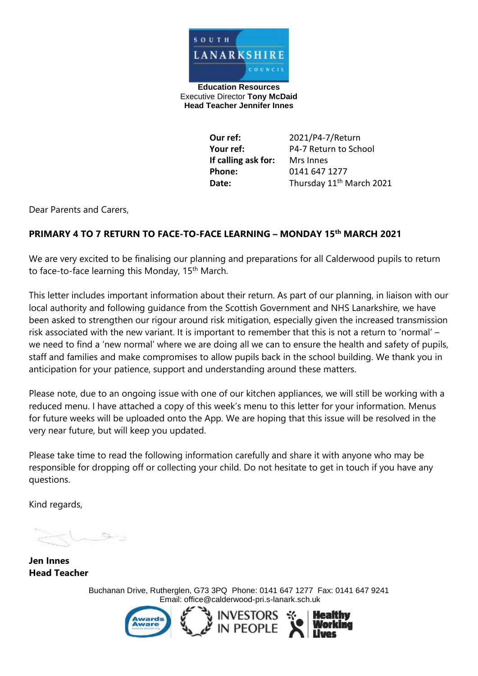

**Education Resources** Executive Director **Tony McDaid Head Teacher Jennifer Innes** 

> **Our ref:** 2021/P4-7/Return **Your ref:** P4-7 Return to School **If calling ask for:** Mrs Innes **Phone:** 0141 647 1277 **Date:** Thursday 11<sup>th</sup> March 2021

Dear Parents and Carers,

#### **PRIMARY 4 TO 7 RETURN TO FACE-TO-FACE LEARNING – MONDAY 15th MARCH 2021**

We are very excited to be finalising our planning and preparations for all Calderwood pupils to return to face-to-face learning this Monday, 15<sup>th</sup> March.

This letter includes important information about their return. As part of our planning, in liaison with our local authority and following guidance from the Scottish Government and NHS Lanarkshire, we have been asked to strengthen our rigour around risk mitigation, especially given the increased transmission risk associated with the new variant. It is important to remember that this is not a return to 'normal' – we need to find a 'new normal' where we are doing all we can to ensure the health and safety of pupils, staff and families and make compromises to allow pupils back in the school building. We thank you in anticipation for your patience, support and understanding around these matters.

Please note, due to an ongoing issue with one of our kitchen appliances, we will still be working with a reduced menu. I have attached a copy of this week's menu to this letter for your information. Menus for future weeks will be uploaded onto the App. We are hoping that this issue will be resolved in the very near future, but will keep you updated.

Please take time to read the following information carefully and share it with anyone who may be responsible for dropping off or collecting your child. Do not hesitate to get in touch if you have any questions.

Kind regards,

**Jen Innes Head Teacher** 

Buchanan Drive, Rutherglen, G73 3PQ Phone: 0141 647 1277 Fax: 0141 647 9241 Email: [office@calderwood-pri.s-lanark.sch.uk](mailto:office@calderwood-pri.s-lanark.sch.uk)

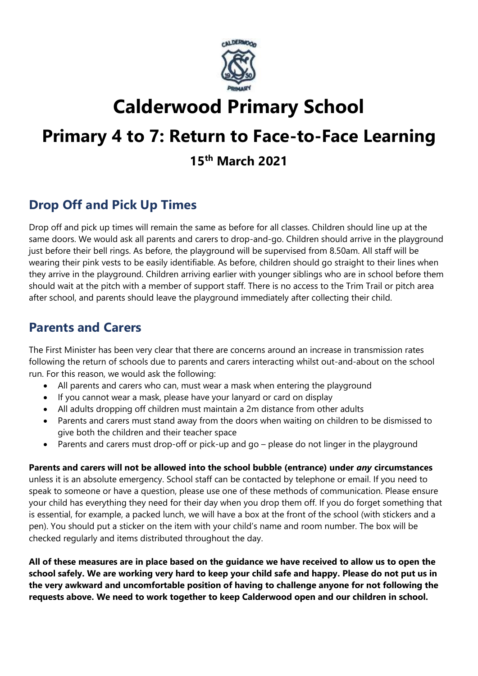

# **Calderwood Primary School**

## **Primary 4 to 7: Return to Face-to-Face Learning**

**15th March 2021**

## **Drop Off and Pick Up Times**

Drop off and pick up times will remain the same as before for all classes. Children should line up at the same doors. We would ask all parents and carers to drop-and-go. Children should arrive in the playground just before their bell rings. As before, the playground will be supervised from 8.50am. All staff will be wearing their pink vests to be easily identifiable. As before, children should go straight to their lines when they arrive in the playground. Children arriving earlier with younger siblings who are in school before them should wait at the pitch with a member of support staff. There is no access to the Trim Trail or pitch area after school, and parents should leave the playground immediately after collecting their child.

## **Parents and Carers**

The First Minister has been very clear that there are concerns around an increase in transmission rates following the return of schools due to parents and carers interacting whilst out-and-about on the school run. For this reason, we would ask the following:

- All parents and carers who can, must wear a mask when entering the playground
- If you cannot wear a mask, please have your lanyard or card on display
- All adults dropping off children must maintain a 2m distance from other adults
- Parents and carers must stand away from the doors when waiting on children to be dismissed to give both the children and their teacher space
- Parents and carers must drop-off or pick-up and go please do not linger in the playground

**Parents and carers will not be allowed into the school bubble (entrance) under** *any* **circumstances** unless it is an absolute emergency. School staff can be contacted by telephone or email. If you need to speak to someone or have a question, please use one of these methods of communication. Please ensure your child has everything they need for their day when you drop them off. If you do forget something that is essential, for example, a packed lunch, we will have a box at the front of the school (with stickers and a pen). You should put a sticker on the item with your child's name and room number. The box will be checked regularly and items distributed throughout the day.

**All of these measures are in place based on the guidance we have received to allow us to open the school safely. We are working very hard to keep your child safe and happy. Please do not put us in the very awkward and uncomfortable position of having to challenge anyone for not following the requests above. We need to work together to keep Calderwood open and our children in school.**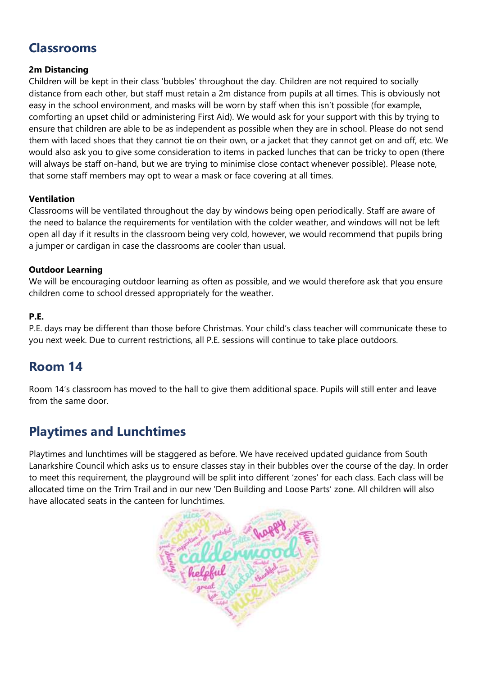## **Classrooms**

#### **2m Distancing**

Children will be kept in their class 'bubbles' throughout the day. Children are not required to socially distance from each other, but staff must retain a 2m distance from pupils at all times. This is obviously not easy in the school environment, and masks will be worn by staff when this isn't possible (for example, comforting an upset child or administering First Aid). We would ask for your support with this by trying to ensure that children are able to be as independent as possible when they are in school. Please do not send them with laced shoes that they cannot tie on their own, or a jacket that they cannot get on and off, etc. We would also ask you to give some consideration to items in packed lunches that can be tricky to open (there will always be staff on-hand, but we are trying to minimise close contact whenever possible). Please note, that some staff members may opt to wear a mask or face covering at all times.

#### **Ventilation**

Classrooms will be ventilated throughout the day by windows being open periodically. Staff are aware of the need to balance the requirements for ventilation with the colder weather, and windows will not be left open all day if it results in the classroom being very cold, however, we would recommend that pupils bring a jumper or cardigan in case the classrooms are cooler than usual.

#### **Outdoor Learning**

We will be encouraging outdoor learning as often as possible, and we would therefore ask that you ensure children come to school dressed appropriately for the weather.

#### **P.E.**

P.E. days may be different than those before Christmas. Your child's class teacher will communicate these to you next week. Due to current restrictions, all P.E. sessions will continue to take place outdoors.

## **Room 14**

Room 14's classroom has moved to the hall to give them additional space. Pupils will still enter and leave from the same door.

## **Playtimes and Lunchtimes**

Playtimes and lunchtimes will be staggered as before. We have received updated guidance from South Lanarkshire Council which asks us to ensure classes stay in their bubbles over the course of the day. In order to meet this requirement, the playground will be split into different 'zones' for each class. Each class will be allocated time on the Trim Trail and in our new 'Den Building and Loose Parts' zone. All children will also have allocated seats in the canteen for lunchtimes.

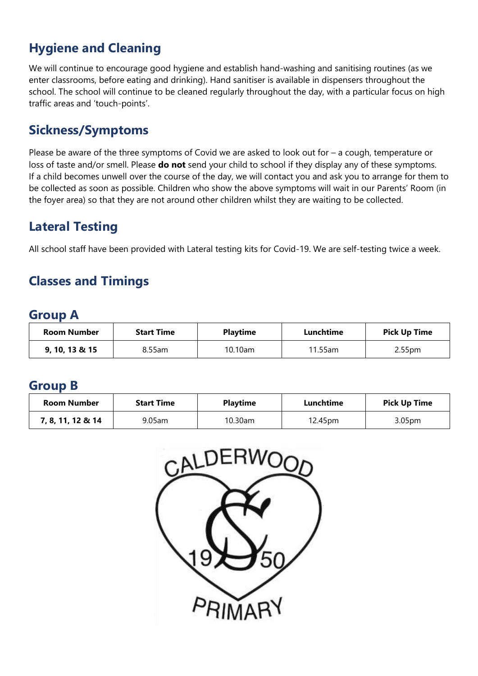## **Hygiene and Cleaning**

We will continue to encourage good hygiene and establish hand-washing and sanitising routines (as we enter classrooms, before eating and drinking). Hand sanitiser is available in dispensers throughout the school. The school will continue to be cleaned regularly throughout the day, with a particular focus on high traffic areas and 'touch-points'.

## **Sickness/Symptoms**

Please be aware of the three symptoms of Covid we are asked to look out for – a cough, temperature or loss of taste and/or smell. Please **do not** send your child to school if they display any of these symptoms. If a child becomes unwell over the course of the day, we will contact you and ask you to arrange for them to be collected as soon as possible. Children who show the above symptoms will wait in our Parents' Room (in the foyer area) so that they are not around other children whilst they are waiting to be collected.

## **Lateral Testing**

All school staff have been provided with Lateral testing kits for Covid-19. We are self-testing twice a week.

## **Classes and Timings**

#### **Group A**

| <b>Room Number</b> | <b>Start Time</b> | <b>Playtime</b> | Lunchtime | <b>Pick Up Time</b> |
|--------------------|-------------------|-----------------|-----------|---------------------|
| 9, 10, 13 & 15     | $8.55$ am         | 10.10am         | 11.55am   | 2.55 <sub>pm</sub>  |

#### **Group B**

| <b>Room Number</b> | <b>Start Time</b> | <b>Playtime</b> | Lunchtime | <b>Pick Up Time</b> |
|--------------------|-------------------|-----------------|-----------|---------------------|
| 7, 8, 11, 12 & 14  | 9.05am            | $10.30$ am      | 12.45pm   | 3.05 <sub>pm</sub>  |